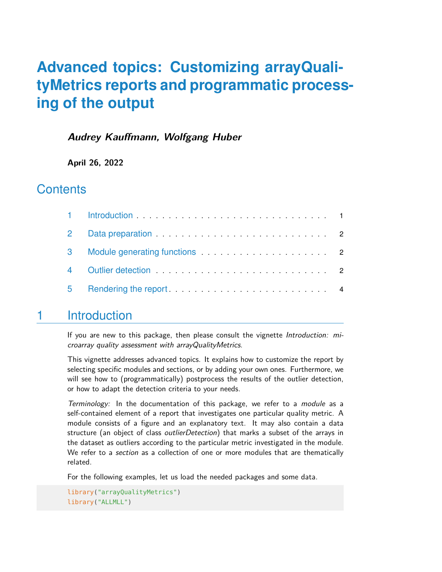# **Advanced topics: Customizing arrayQualityMetrics reports and programmatic processing of the output**

### **Audrey Kauffmann, Wolfgang Huber**

**April 26, 2022**

## **Contents**

| $\overline{2}$ |                                                                                                                                                                                                                                |  |
|----------------|--------------------------------------------------------------------------------------------------------------------------------------------------------------------------------------------------------------------------------|--|
|                |                                                                                                                                                                                                                                |  |
| $\overline{4}$ | Outlier detection entertainment and a series of the contract of the contract of the contract of the contract of the contract of the contract of the contract of the contract of the contract of the contract of the contract o |  |
| 5              |                                                                                                                                                                                                                                |  |

## <span id="page-0-0"></span>1 Introduction

If you are new to this package, then please consult the vignette Introduction: microarray quality assessment with arrayQualityMetrics.

This vignette addresses advanced topics. It explains how to customize the report by selecting specific modules and sections, or by adding your own ones. Furthermore, we will see how to (programmatically) postprocess the results of the outlier detection, or how to adapt the detection criteria to your needs.

Terminology: In the documentation of this package, we refer to a module as a self-contained element of a report that investigates one particular quality metric. A module consists of a figure and an explanatory text. It may also contain a data structure (an object of class *outlierDetection*) that marks a subset of the arrays in the dataset as outliers according to the particular metric investigated in the module. We refer to a section as a collection of one or more modules that are thematically related.

For the following examples, let us load the needed packages and some data.

```
library("arrayQualityMetrics")
library("ALLMLL")
```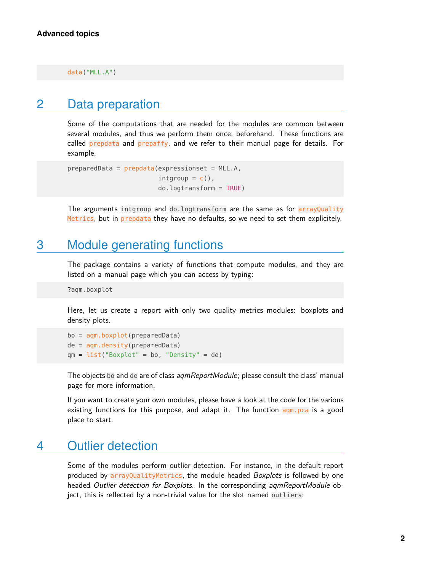<span id="page-1-0"></span>data("MLL.A")

## 2 Data preparation

Some of the computations that are needed for the modules are common between several modules, and thus we perform them once, beforehand. These functions are called prepdata and prepaffy, and we refer to their manual page for details. For example,

```
preparedData = preddata(expressionset = MLL.A,intgroup = c(),
                        do.logtransform = TRUE)
```
<span id="page-1-1"></span>The arguments intgroup and do.logtransform are the same as for arrayQuality Metrics, but in prepdata they have no defaults, so we need to set them explicitely.

## 3 Module generating functions

The package contains a variety of functions that compute modules, and they are listed on a manual page which you can access by typing:

?aqm.boxplot

Here, let us create a report with only two quality metrics modules: boxplots and density plots.

```
bo = aqm.boxplot(preparedData)
de = aqm.density(preparedData)
qm = list("Boxplot" = bo, "Density" = de)
```
The objects bo and de are of class *aqmReportModule*; please consult the class' manual page for more information.

<span id="page-1-2"></span>If you want to create your own modules, please have a look at the code for the various existing functions for this purpose, and adapt it. The function  $\frac{q}{q}$  agong is a good place to start.

## 4 Outlier detection

Some of the modules perform outlier detection. For instance, in the default report produced by arrayQualityMetrics, the module headed Boxplots is followed by one headed *Outlier detection for Boxplots*. In the corresponding *agmReportModule* object, this is reflected by a non-trivial value for the slot named outliers: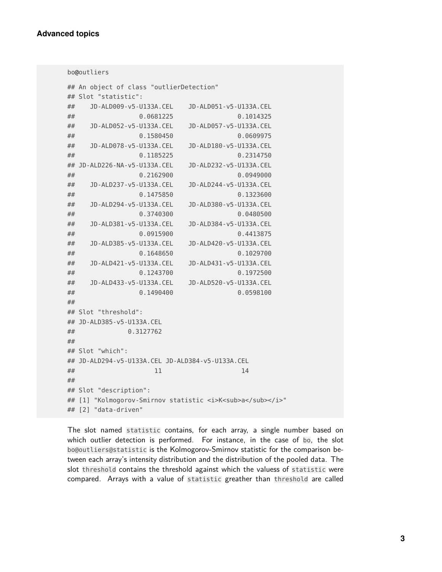```
bo@outliers
## An object of class "outlierDetection"
## Slot "statistic":
## JD-ALD009-v5-U133A.CEL JD-ALD051-v5-U133A.CEL
## 0.0681225 0.1014325
## JD-ALD052-v5-U133A.CEL JD-ALD057-v5-U133A.CEL
## 0.1580450 0.0609975
## JD-ALD078-v5-U133A.CEL JD-ALD180-v5-U133A.CEL
## 0.1185225 0.2314750
## JD-ALD226-NA-v5-U133A.CEL JD-ALD232-v5-U133A.CEL
## 0.2162900 0.0949000
## JD-ALD237-v5-U133A.CEL JD-ALD244-v5-U133A.CEL
## 0.1475850 0.1323600
## JD-ALD294-v5-U133A.CEL JD-ALD380-v5-U133A.CEL
## 0.3740300 0.0480500
## JD-ALD381-v5-U133A.CEL JD-ALD384-v5-U133A.CEL
## 0.0915900 0.4413875
## JD-ALD385-v5-U133A.CEL JD-ALD420-v5-U133A.CEL
## 0.1648650 0.1029700
## JD-ALD421-v5-U133A.CEL JD-ALD431-v5-U133A.CEL
## 0.1243700 0.1972500
## JD-ALD433-v5-U133A.CEL JD-ALD520-v5-U133A.CEL
## 0.1490400 0.0598100
##
## Slot "threshold":
## JD-ALD385-v5-U133A.CEL
## 0.3127762
##
## Slot "which":
## JD-ALD294-v5-U133A.CEL JD-ALD384-v5-U133A.CEL
\# \# \qquad \qquad \qquad \qquad \qquad \qquad \qquad \qquad \qquad \qquad \qquad \qquad \qquad \qquad \qquad \qquad \qquad \qquad \qquad \qquad \qquad \qquad \qquad \qquad \qquad \qquad \qquad \qquad \qquad \qquad \qquad \qquad \qquad \qquad \qquad ##
## Slot "description":
## [1] "Kolmogorov-Smirnov statistic <i>K<sub>a</sub></i>"
## [2] "data-driven"
```
The slot named statistic contains, for each array, a single number based on which outlier detection is performed. For instance, in the case of bo, the slot bo@outliers@statistic is the Kolmogorov-Smirnov statistic for the comparison between each array's intensity distribution and the distribution of the pooled data. The slot threshold contains the threshold against which the valuess of statistic were compared. Arrays with a value of statistic greather than threshold are called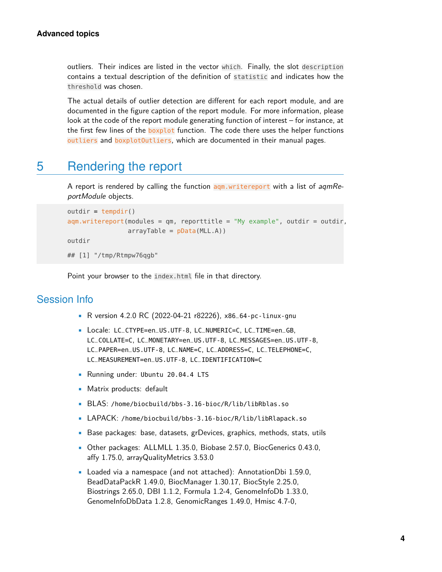outliers. Their indices are listed in the vector which. Finally, the slot description contains a textual description of the definition of statistic and indicates how the threshold was chosen.

The actual details of outlier detection are different for each report module, and are documented in the figure caption of the report module. For more information, please look at the code of the report module generating function of interest – for instance, at the first few lines of the **boxplot** function. The code there uses the helper functions outliers and boxplotOutliers, which are documented in their manual pages.

# <span id="page-3-0"></span>5 Rendering the report

A report is rendered by calling the function  $aqm.wintereport$  with a list of  $aqmRe$ portModule objects.

```
outdir = tempdir()aqm.writereport(modules = qm, reporttitle = "My example", outdir = outdir,
                arrayTable = pData(MLL.A)outdir
## [1] "/tmp/Rtmpw76qgb"
```
Point your browser to the index.html file in that directory.

#### Session Info

- R version 4.2.0 RC (2022-04-21 r82226), x86\_64-pc-linux-gnu
- Locale: LC\_CTYPE=en\_US.UTF-8, LC\_NUMERIC=C, LC\_TIME=en\_GB, LC\_COLLATE=C, LC\_MONETARY=en\_US.UTF-8, LC\_MESSAGES=en\_US.UTF-8, LC\_PAPER=en\_US.UTF-8, LC\_NAME=C, LC\_ADDRESS=C, LC\_TELEPHONE=C, LC\_MEASUREMENT=en\_US.UTF-8, LC\_IDENTIFICATION=C
- Running under: Ubuntu 20.04.4 LTS
- Matrix products: default
- BLAS: /home/biocbuild/bbs-3.16-bioc/R/lib/libRblas.so
- LAPACK: /home/biocbuild/bbs-3.16-bioc/R/lib/libRlapack.so
- Base packages: base, datasets, grDevices, graphics, methods, stats, utils
- Other packages: ALLMLL 1.35.0, Biobase 2.57.0, BiocGenerics 0.43.0, affy 1.75.0, arrayQualityMetrics 3.53.0
- Loaded via a namespace (and not attached): AnnotationDbi 1.59.0, BeadDataPackR 1.49.0, BiocManager 1.30.17, BiocStyle 2.25.0, Biostrings 2.65.0, DBI 1.1.2, Formula 1.2-4, GenomeInfoDb 1.33.0, GenomeInfoDbData 1.2.8, GenomicRanges 1.49.0, Hmisc 4.7-0,